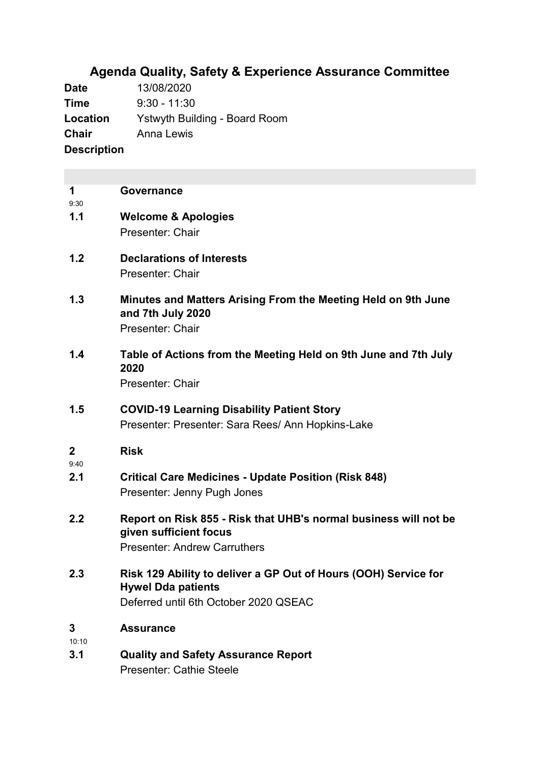# **Agenda Quality, Safety & Experience Assurance Committee**

**Date** 13/08/2020 **Time** 9:30 - 11:30 **Location** Ystwyth Building - Board Room **Chair** Anna Lewis **Description**

| 1<br>9:30  | Governance                                                                                                                            |
|------------|---------------------------------------------------------------------------------------------------------------------------------------|
| 1.1        | <b>Welcome &amp; Apologies</b><br>Presenter: Chair                                                                                    |
| 1.2        | <b>Declarations of Interests</b><br>Presenter: Chair                                                                                  |
| 1.3        | Minutes and Matters Arising From the Meeting Held on 9th June<br>and 7th July 2020<br>Presenter: Chair                                |
| 1.4        | Table of Actions from the Meeting Held on 9th June and 7th July<br>2020<br>Presenter: Chair                                           |
| 1.5        | <b>COVID-19 Learning Disability Patient Story</b><br>Presenter: Presenter: Sara Rees/ Ann Hopkins-Lake                                |
| 2<br>9:40  | <b>Risk</b>                                                                                                                           |
| 2.1        | <b>Critical Care Medicines - Update Position (Risk 848)</b><br>Presenter: Jenny Pugh Jones                                            |
| 2.2        | Report on Risk 855 - Risk that UHB's normal business will not be<br>given sufficient focus<br><b>Presenter: Andrew Carruthers</b>     |
| 2.3        | Risk 129 Ability to deliver a GP Out of Hours (OOH) Service for<br><b>Hywel Dda patients</b><br>Deferred until 6th October 2020 QSEAC |
| 3<br>10:10 | <b>Assurance</b>                                                                                                                      |
| 3.1        | <b>Quality and Safety Assurance Report</b><br><b>Presenter: Cathie Steele</b>                                                         |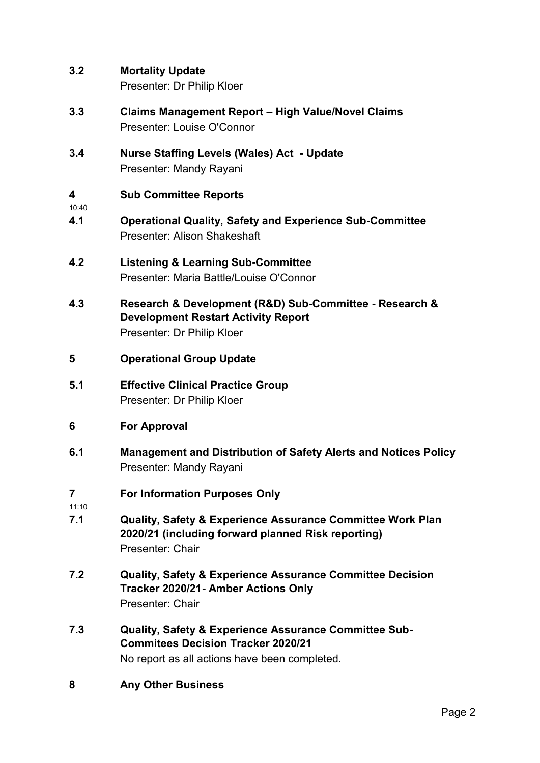**3.2 Mortality Update**

Presenter: Dr Philip Kloer

- **3.3 Claims Management Report – High Value/Novel Claims** Presenter: Louise O'Connor
- **3.4 Nurse Staffing Levels (Wales) Act - Update** Presenter: Mandy Rayani

#### **4 Sub Committee Reports**

10:40

- **4.1 Operational Quality, Safety and Experience Sub-Committee** Presenter: Alison Shakeshaft
- **4.2 Listening & Learning Sub-Committee** Presenter: Maria Battle/Louise O'Connor
- **4.3 Research & Development (R&D) Sub-Committee - Research & Development Restart Activity Report** Presenter: Dr Philip Kloer
- **5 Operational Group Update**
- **5.1 Effective Clinical Practice Group** Presenter: Dr Philip Kloer
- **6 For Approval**
- **6.1 Management and Distribution of Safety Alerts and Notices Policy** Presenter: Mandy Rayani
- **7 For Information Purposes Only**
- 11:10
- **7.1 Quality, Safety & Experience Assurance Committee Work Plan 2020/21 (including forward planned Risk reporting)** Presenter: Chair
- **7.2 Quality, Safety & Experience Assurance Committee Decision Tracker 2020/21- Amber Actions Only** Presenter: Chair
- **7.3 Quality, Safety & Experience Assurance Committee Sub-Commitees Decision Tracker 2020/21** No report as all actions have been completed.
- **8 Any Other Business**